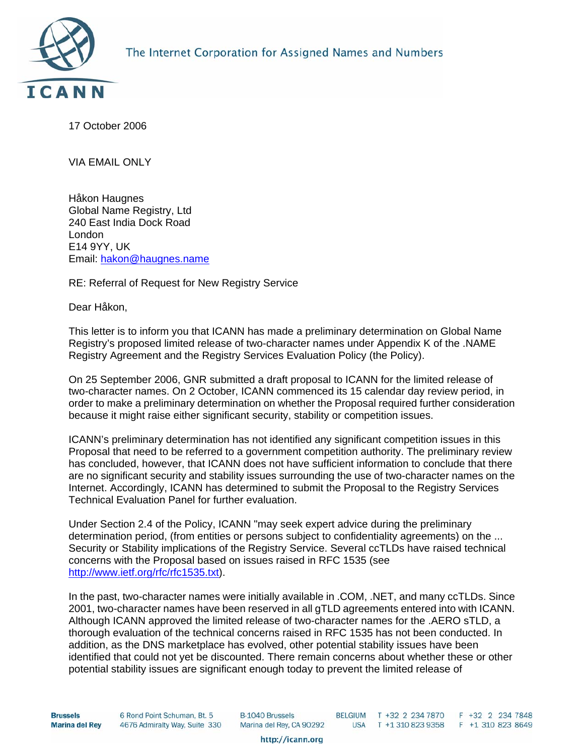

17 October 2006

VIA EMAIL ONLY

Håkon Haugnes Global Name Registry, Ltd 240 East India Dock Road London E14 9YY, UK Email: [hakon@haugnes.name](mailto:hakon@haugnes.name)

RE: Referral of Request for New Registry Service

Dear Håkon,

This letter is to inform you that ICANN has made a preliminary determination on Global Name Registry's proposed limited release of two-character names under Appendix K of the .NAME Registry Agreement and the Registry Services Evaluation Policy (the Policy).

On 25 September 2006, GNR submitted a draft proposal to ICANN for the limited release of two-character names. On 2 October, ICANN commenced its 15 calendar day review period, in order to make a preliminary determination on whether the Proposal required further consideration because it might raise either significant security, stability or competition issues.

ICANN's preliminary determination has not identified any significant competition issues in this Proposal that need to be referred to a government competition authority. The preliminary review has concluded, however, that ICANN does not have sufficient information to conclude that there are no significant security and stability issues surrounding the use of two-character names on the Internet. Accordingly, ICANN has determined to submit the Proposal to the Registry Services Technical Evaluation Panel for further evaluation.

Under Section 2.4 of the Policy, ICANN "may seek expert advice during the preliminary determination period, (from entities or persons subject to confidentiality agreements) on the ... Security or Stability implications of the Registry Service. Several ccTLDs have raised technical concerns with the Proposal based on issues raised in RFC 1535 (see [http://www.ietf.org/rfc/rfc1535.txt\)](http://www.ietf.org/rfc/rfc1535.txt).

In the past, two-character names were initially available in .COM, .NET, and many ccTLDs. Since 2001, two-character names have been reserved in all gTLD agreements entered into with ICANN. Although ICANN approved the limited release of two-character names for the .AERO sTLD, a thorough evaluation of the technical concerns raised in RFC 1535 has not been conducted. In addition, as the DNS marketplace has evolved, other potential stability issues have been identified that could not yet be discounted. There remain concerns about whether these or other potential stability issues are significant enough today to prevent the limited release of

**Brussels Marina del Rey**  6 Rond Point Schuman, Bt. 5 4676 Admiralty Way, Suite 330 **B-1040 Brussels** Marina del Rey, CA 90292 BELGIUM T +32 2 234 7870 F +32 2 234 7848<br>USA T +1 310 823 9358 F +1 310 823 8649

http://icann.org